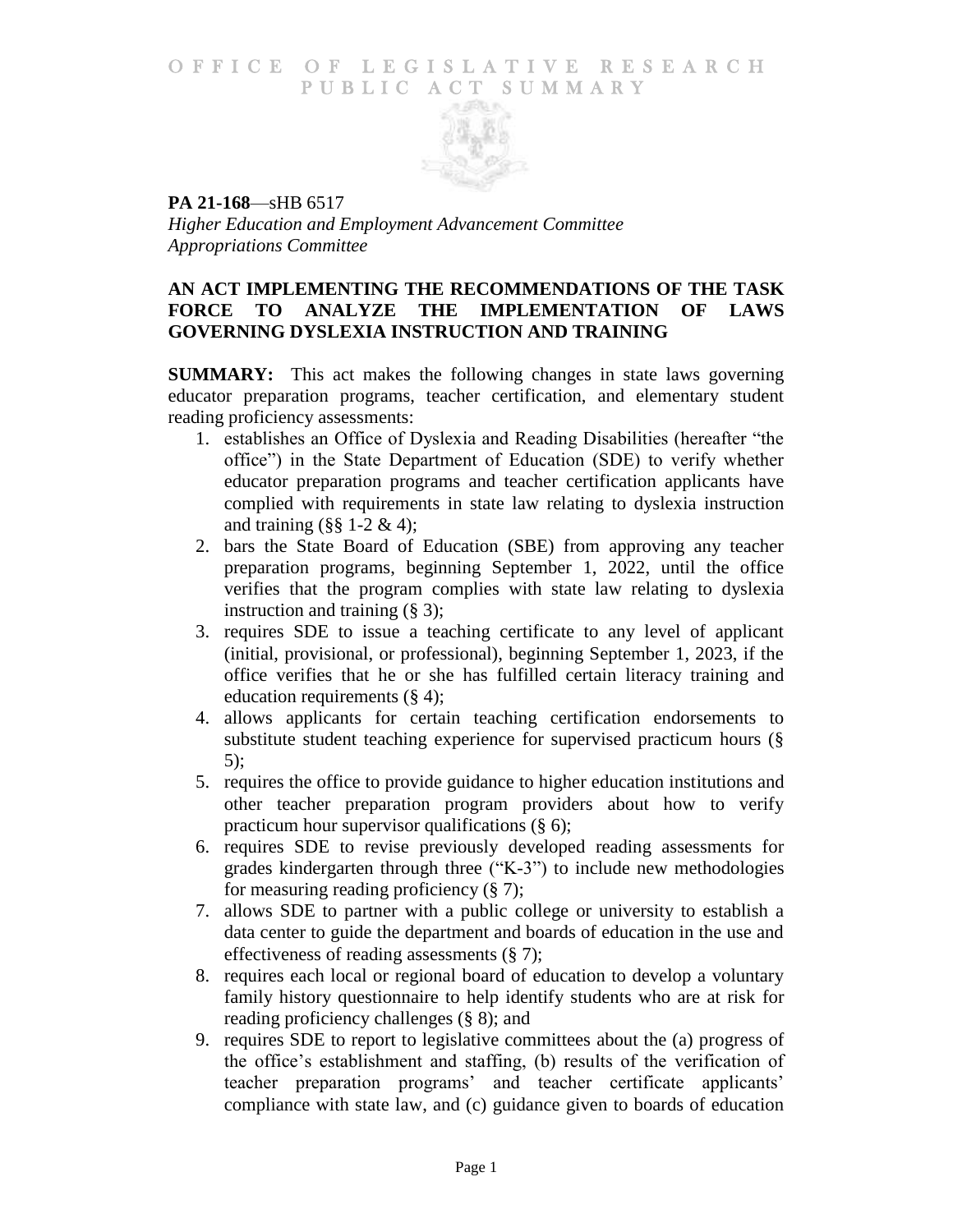### O F F I C E O F L E G I S L A T I V E R E S E A R C H PUBLIC ACT SUMMARY



**PA 21-168**—sHB 6517 *Higher Education and Employment Advancement Committee Appropriations Committee*

# **AN ACT IMPLEMENTING THE RECOMMENDATIONS OF THE TASK FORCE TO ANALYZE THE IMPLEMENTATION OF LAWS GOVERNING DYSLEXIA INSTRUCTION AND TRAINING**

**SUMMARY:** This act makes the following changes in state laws governing educator preparation programs, teacher certification, and elementary student reading proficiency assessments:

- 1. establishes an Office of Dyslexia and Reading Disabilities (hereafter "the office") in the State Department of Education (SDE) to verify whether educator preparation programs and teacher certification applicants have complied with requirements in state law relating to dyslexia instruction and training  $(\S \S 1-2 \& 4)$ ;
- 2. bars the State Board of Education (SBE) from approving any teacher preparation programs, beginning September 1, 2022, until the office verifies that the program complies with state law relating to dyslexia instruction and training (§ 3);
- 3. requires SDE to issue a teaching certificate to any level of applicant (initial, provisional, or professional), beginning September 1, 2023, if the office verifies that he or she has fulfilled certain literacy training and education requirements (§ 4);
- 4. allows applicants for certain teaching certification endorsements to substitute student teaching experience for supervised practicum hours (§ 5);
- 5. requires the office to provide guidance to higher education institutions and other teacher preparation program providers about how to verify practicum hour supervisor qualifications (§ 6);
- 6. requires SDE to revise previously developed reading assessments for grades kindergarten through three ("K-3") to include new methodologies for measuring reading proficiency (§ 7);
- 7. allows SDE to partner with a public college or university to establish a data center to guide the department and boards of education in the use and effectiveness of reading assessments (§ 7);
- 8. requires each local or regional board of education to develop a voluntary family history questionnaire to help identify students who are at risk for reading proficiency challenges (§ 8); and
- 9. requires SDE to report to legislative committees about the (a) progress of the office's establishment and staffing, (b) results of the verification of teacher preparation programs' and teacher certificate applicants' compliance with state law, and (c) guidance given to boards of education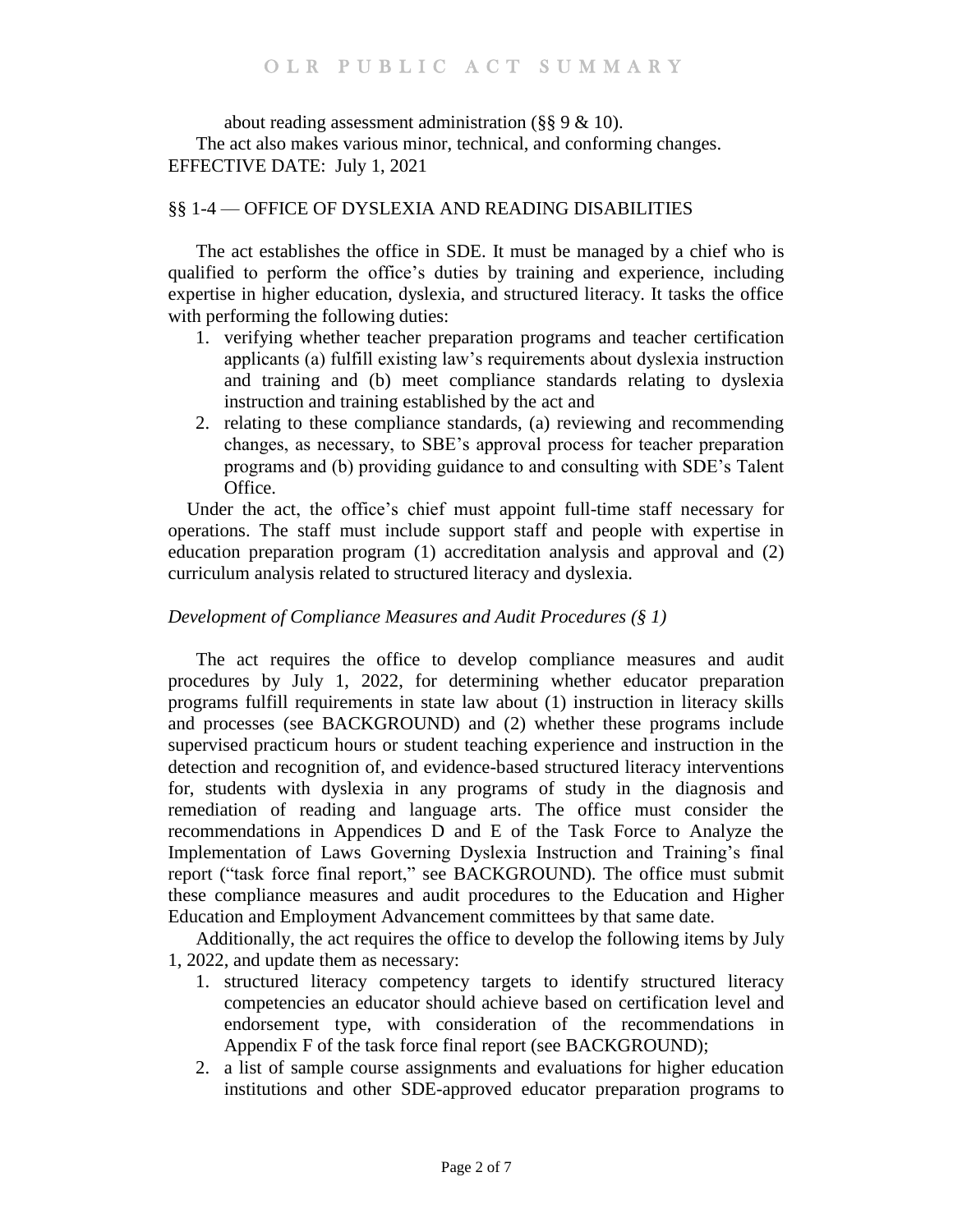about reading assessment administration (§§ 9 & 10). The act also makes various minor, technical, and conforming changes. EFFECTIVE DATE: July 1, 2021

## §§ 1-4 — OFFICE OF DYSLEXIA AND READING DISABILITIES

The act establishes the office in SDE. It must be managed by a chief who is qualified to perform the office's duties by training and experience, including expertise in higher education, dyslexia, and structured literacy. It tasks the office with performing the following duties:

- 1. verifying whether teacher preparation programs and teacher certification applicants (a) fulfill existing law's requirements about dyslexia instruction and training and (b) meet compliance standards relating to dyslexia instruction and training established by the act and
- 2. relating to these compliance standards, (a) reviewing and recommending changes, as necessary, to SBE's approval process for teacher preparation programs and (b) providing guidance to and consulting with SDE's Talent Office.

 Under the act, the office's chief must appoint full-time staff necessary for operations. The staff must include support staff and people with expertise in education preparation program (1) accreditation analysis and approval and (2) curriculum analysis related to structured literacy and dyslexia.

## *Development of Compliance Measures and Audit Procedures (§ 1)*

The act requires the office to develop compliance measures and audit procedures by July 1, 2022, for determining whether educator preparation programs fulfill requirements in state law about (1) instruction in literacy skills and processes (see BACKGROUND) and (2) whether these programs include supervised practicum hours or student teaching experience and instruction in the detection and recognition of, and evidence-based structured literacy interventions for, students with dyslexia in any programs of study in the diagnosis and remediation of reading and language arts. The office must consider the recommendations in Appendices D and E of the Task Force to Analyze the Implementation of Laws Governing Dyslexia Instruction and Training's final report ("task force final report," see BACKGROUND). The office must submit these compliance measures and audit procedures to the Education and Higher Education and Employment Advancement committees by that same date.

Additionally, the act requires the office to develop the following items by July 1, 2022, and update them as necessary:

- 1. structured literacy competency targets to identify structured literacy competencies an educator should achieve based on certification level and endorsement type, with consideration of the recommendations in Appendix F of the task force final report (see BACKGROUND);
- 2. a list of sample course assignments and evaluations for higher education institutions and other SDE-approved educator preparation programs to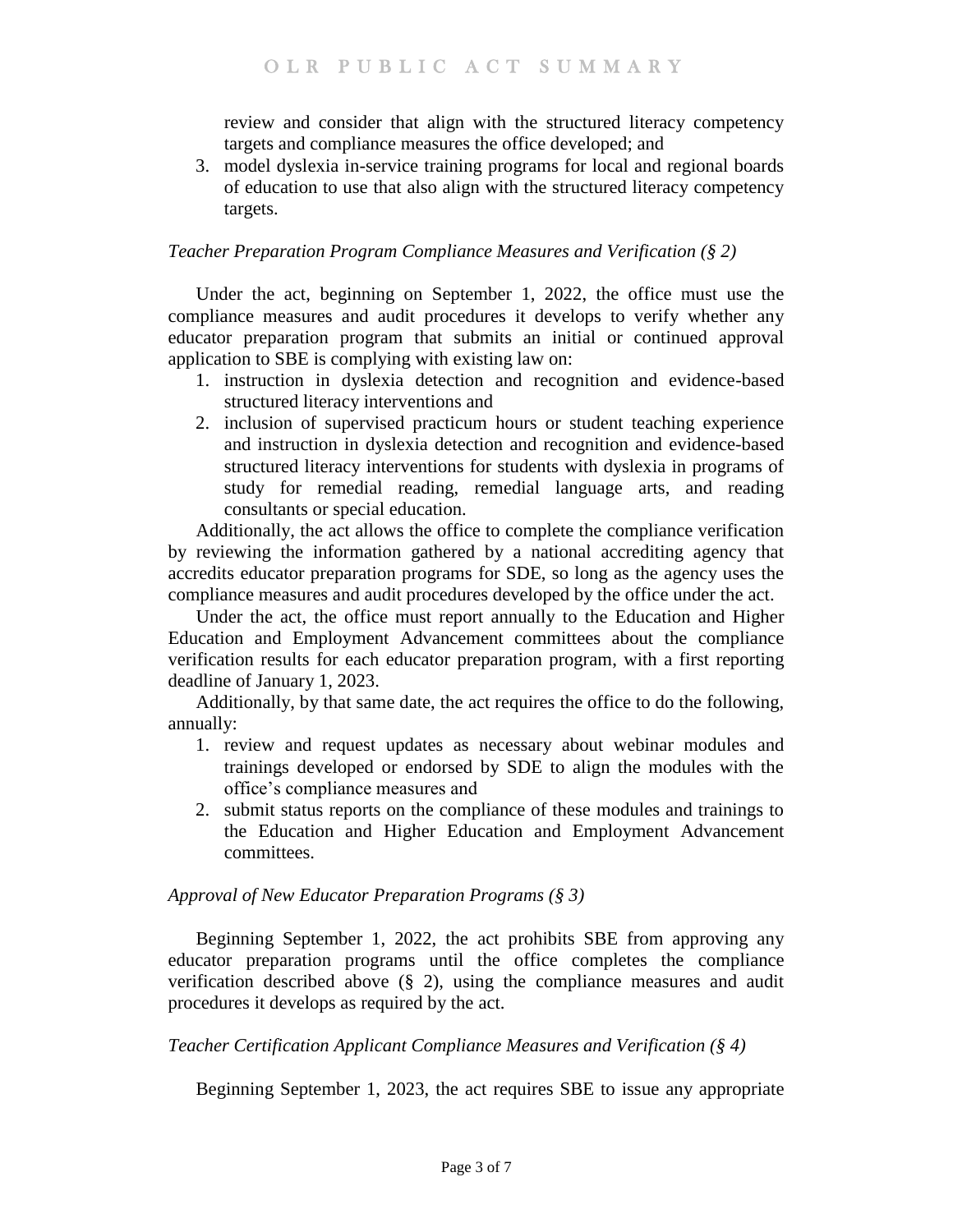review and consider that align with the structured literacy competency targets and compliance measures the office developed; and

3. model dyslexia in-service training programs for local and regional boards of education to use that also align with the structured literacy competency targets.

## *Teacher Preparation Program Compliance Measures and Verification (§ 2)*

Under the act, beginning on September 1, 2022, the office must use the compliance measures and audit procedures it develops to verify whether any educator preparation program that submits an initial or continued approval application to SBE is complying with existing law on:

- 1. instruction in dyslexia detection and recognition and evidence-based structured literacy interventions and
- 2. inclusion of supervised practicum hours or student teaching experience and instruction in dyslexia detection and recognition and evidence-based structured literacy interventions for students with dyslexia in programs of study for remedial reading, remedial language arts, and reading consultants or special education.

Additionally, the act allows the office to complete the compliance verification by reviewing the information gathered by a national accrediting agency that accredits educator preparation programs for SDE, so long as the agency uses the compliance measures and audit procedures developed by the office under the act.

Under the act, the office must report annually to the Education and Higher Education and Employment Advancement committees about the compliance verification results for each educator preparation program, with a first reporting deadline of January 1, 2023.

Additionally, by that same date, the act requires the office to do the following, annually:

- 1. review and request updates as necessary about webinar modules and trainings developed or endorsed by SDE to align the modules with the office's compliance measures and
- 2. submit status reports on the compliance of these modules and trainings to the Education and Higher Education and Employment Advancement committees.

### *Approval of New Educator Preparation Programs (§ 3)*

Beginning September 1, 2022, the act prohibits SBE from approving any educator preparation programs until the office completes the compliance verification described above (§ 2), using the compliance measures and audit procedures it develops as required by the act.

### *Teacher Certification Applicant Compliance Measures and Verification (§ 4)*

Beginning September 1, 2023, the act requires SBE to issue any appropriate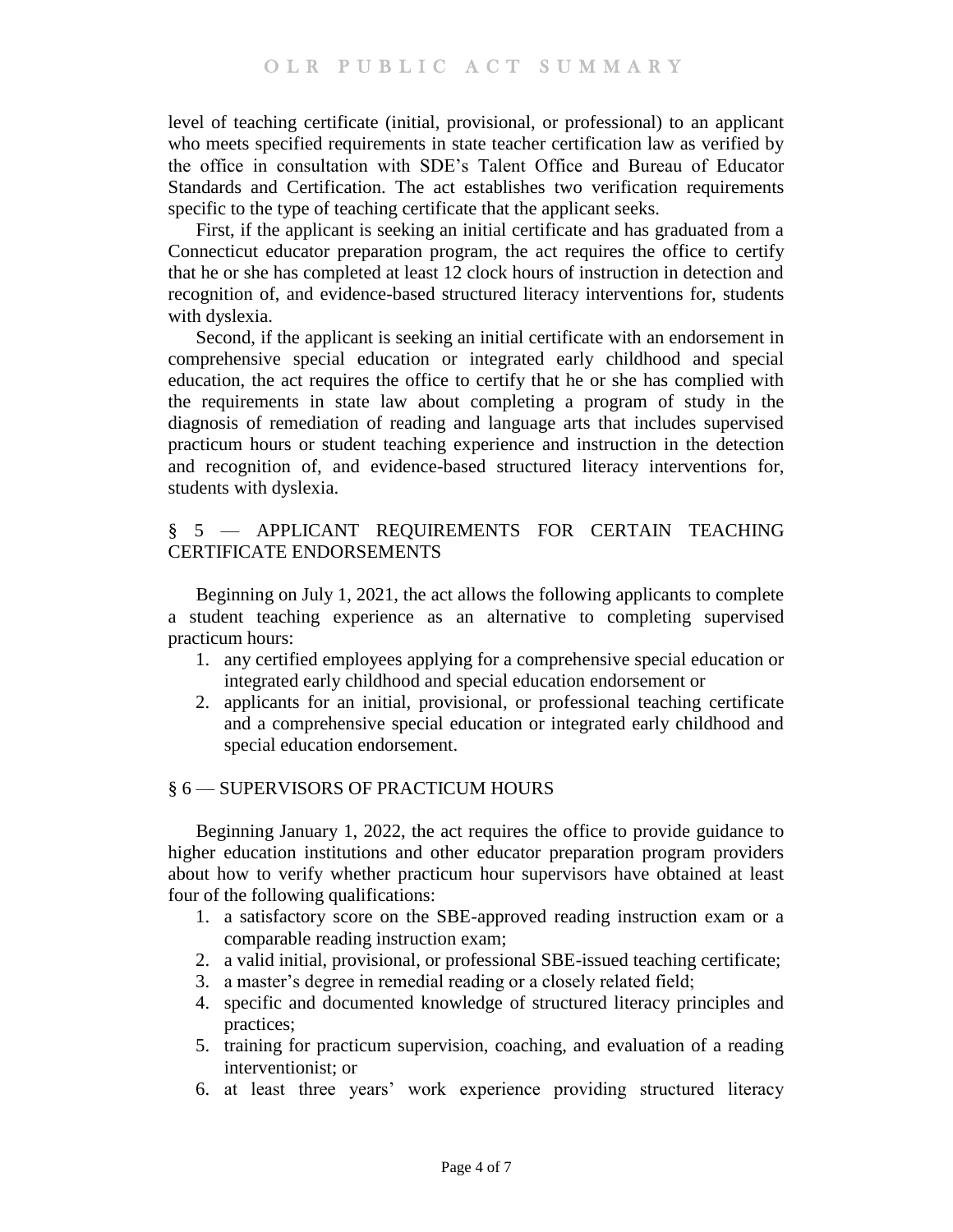level of teaching certificate (initial, provisional, or professional) to an applicant who meets specified requirements in state teacher certification law as verified by the office in consultation with SDE's Talent Office and Bureau of Educator Standards and Certification. The act establishes two verification requirements specific to the type of teaching certificate that the applicant seeks.

First, if the applicant is seeking an initial certificate and has graduated from a Connecticut educator preparation program, the act requires the office to certify that he or she has completed at least 12 clock hours of instruction in detection and recognition of, and evidence-based structured literacy interventions for, students with dyslexia.

Second, if the applicant is seeking an initial certificate with an endorsement in comprehensive special education or integrated early childhood and special education, the act requires the office to certify that he or she has complied with the requirements in state law about completing a program of study in the diagnosis of remediation of reading and language arts that includes supervised practicum hours or student teaching experience and instruction in the detection and recognition of, and evidence-based structured literacy interventions for, students with dyslexia.

## § 5 — APPLICANT REQUIREMENTS FOR CERTAIN TEACHING CERTIFICATE ENDORSEMENTS

Beginning on July 1, 2021, the act allows the following applicants to complete a student teaching experience as an alternative to completing supervised practicum hours:

- 1. any certified employees applying for a comprehensive special education or integrated early childhood and special education endorsement or
- 2. applicants for an initial, provisional, or professional teaching certificate and a comprehensive special education or integrated early childhood and special education endorsement.

# § 6 — SUPERVISORS OF PRACTICUM HOURS

Beginning January 1, 2022, the act requires the office to provide guidance to higher education institutions and other educator preparation program providers about how to verify whether practicum hour supervisors have obtained at least four of the following qualifications:

- 1. a satisfactory score on the SBE-approved reading instruction exam or a comparable reading instruction exam;
- 2. a valid initial, provisional, or professional SBE-issued teaching certificate;
- 3. a master's degree in remedial reading or a closely related field;
- 4. specific and documented knowledge of structured literacy principles and practices;
- 5. training for practicum supervision, coaching, and evaluation of a reading interventionist; or
- 6. at least three years' work experience providing structured literacy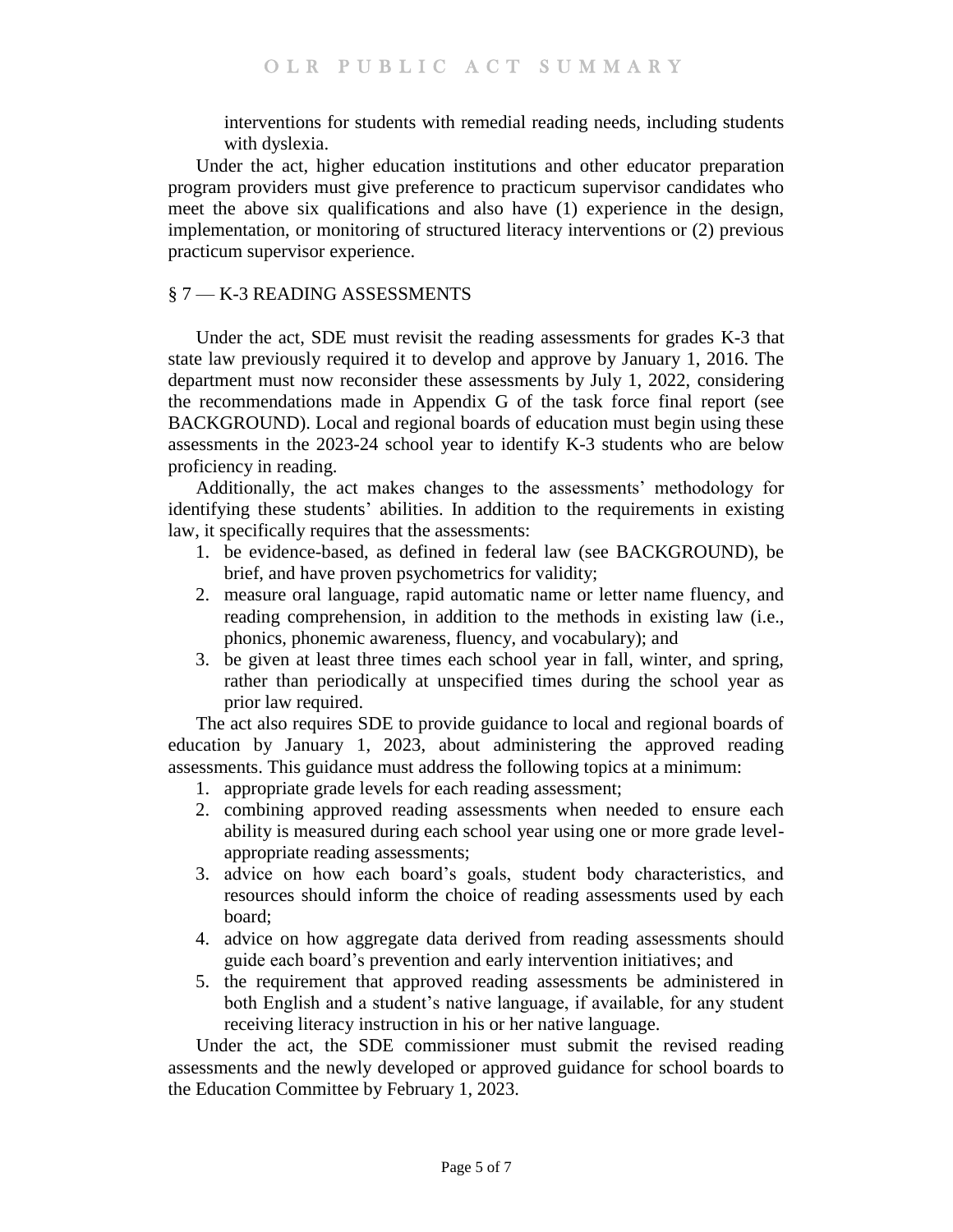interventions for students with remedial reading needs, including students with dyslexia.

Under the act, higher education institutions and other educator preparation program providers must give preference to practicum supervisor candidates who meet the above six qualifications and also have (1) experience in the design, implementation, or monitoring of structured literacy interventions or (2) previous practicum supervisor experience.

## § 7 — K-3 READING ASSESSMENTS

Under the act, SDE must revisit the reading assessments for grades K-3 that state law previously required it to develop and approve by January 1, 2016. The department must now reconsider these assessments by July 1, 2022, considering the recommendations made in Appendix G of the task force final report (see BACKGROUND). Local and regional boards of education must begin using these assessments in the 2023-24 school year to identify K-3 students who are below proficiency in reading.

Additionally, the act makes changes to the assessments' methodology for identifying these students' abilities. In addition to the requirements in existing law, it specifically requires that the assessments:

- 1. be evidence-based, as defined in federal law (see BACKGROUND), be brief, and have proven psychometrics for validity;
- 2. measure oral language, rapid automatic name or letter name fluency, and reading comprehension, in addition to the methods in existing law (i.e., phonics, phonemic awareness, fluency, and vocabulary); and
- 3. be given at least three times each school year in fall, winter, and spring, rather than periodically at unspecified times during the school year as prior law required.

The act also requires SDE to provide guidance to local and regional boards of education by January 1, 2023, about administering the approved reading assessments. This guidance must address the following topics at a minimum:

- 1. appropriate grade levels for each reading assessment;
- 2. combining approved reading assessments when needed to ensure each ability is measured during each school year using one or more grade levelappropriate reading assessments;
- 3. advice on how each board's goals, student body characteristics, and resources should inform the choice of reading assessments used by each board;
- 4. advice on how aggregate data derived from reading assessments should guide each board's prevention and early intervention initiatives; and
- 5. the requirement that approved reading assessments be administered in both English and a student's native language, if available, for any student receiving literacy instruction in his or her native language.

Under the act, the SDE commissioner must submit the revised reading assessments and the newly developed or approved guidance for school boards to the Education Committee by February 1, 2023.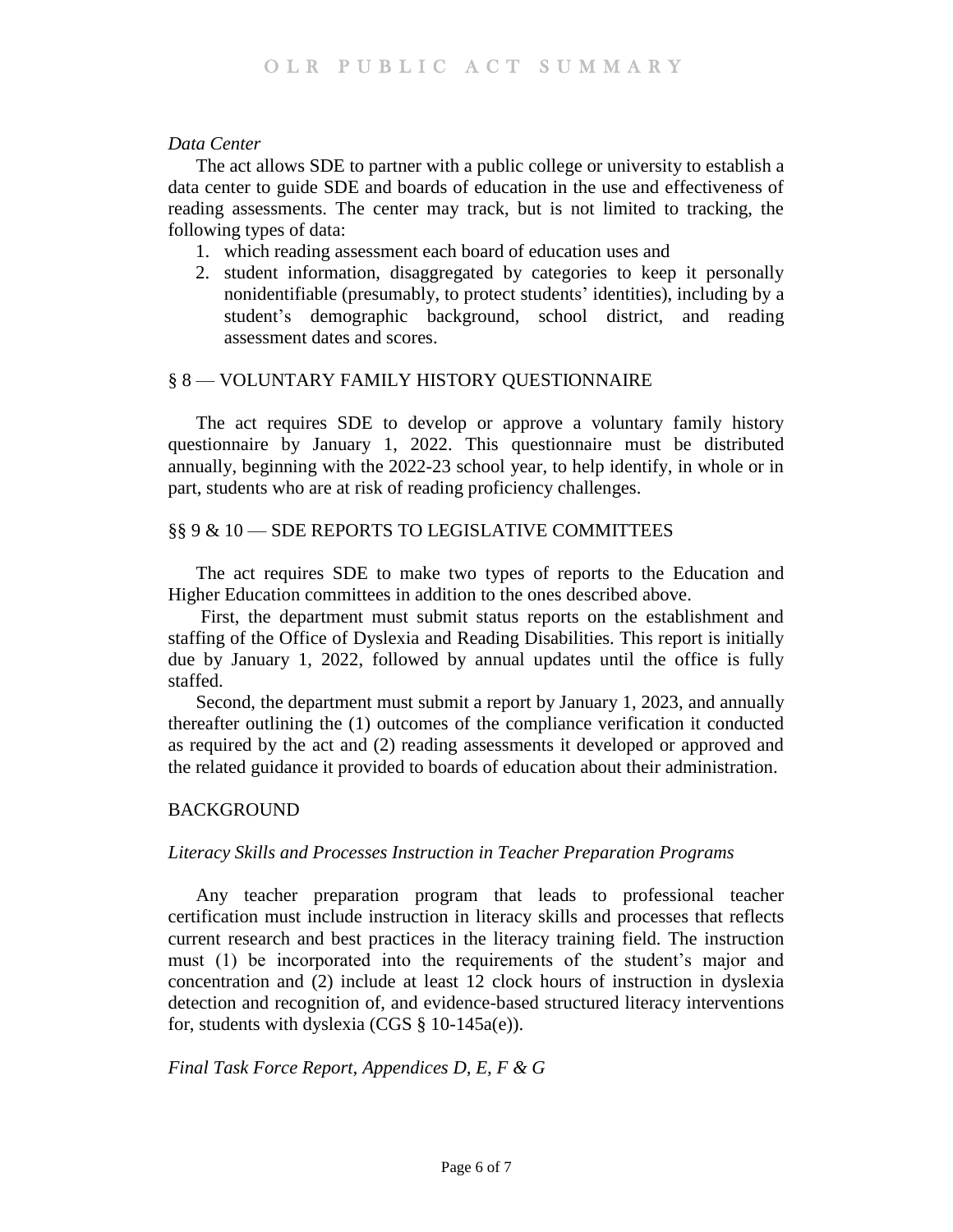#### *Data Center*

The act allows SDE to partner with a public college or university to establish a data center to guide SDE and boards of education in the use and effectiveness of reading assessments. The center may track, but is not limited to tracking, the following types of data:

- 1. which reading assessment each board of education uses and
- 2. student information, disaggregated by categories to keep it personally nonidentifiable (presumably, to protect students' identities), including by a student's demographic background, school district, and reading assessment dates and scores.

### § 8 — VOLUNTARY FAMILY HISTORY QUESTIONNAIRE

The act requires SDE to develop or approve a voluntary family history questionnaire by January 1, 2022. This questionnaire must be distributed annually, beginning with the 2022-23 school year, to help identify, in whole or in part, students who are at risk of reading proficiency challenges.

### §§ 9 & 10 - SDE REPORTS TO LEGISLATIVE COMMITTEES

The act requires SDE to make two types of reports to the Education and Higher Education committees in addition to the ones described above.

First, the department must submit status reports on the establishment and staffing of the Office of Dyslexia and Reading Disabilities. This report is initially due by January 1, 2022, followed by annual updates until the office is fully staffed.

Second, the department must submit a report by January 1, 2023, and annually thereafter outlining the (1) outcomes of the compliance verification it conducted as required by the act and (2) reading assessments it developed or approved and the related guidance it provided to boards of education about their administration.

#### **BACKGROUND**

#### *Literacy Skills and Processes Instruction in Teacher Preparation Programs*

Any teacher preparation program that leads to professional teacher certification must include instruction in literacy skills and processes that reflects current research and best practices in the literacy training field. The instruction must (1) be incorporated into the requirements of the student's major and concentration and (2) include at least 12 clock hours of instruction in dyslexia detection and recognition of, and evidence-based structured literacy interventions for, students with dyslexia (CGS  $\S$  10-145a(e)).

#### *Final Task Force Report, Appendices D, E, F & G*